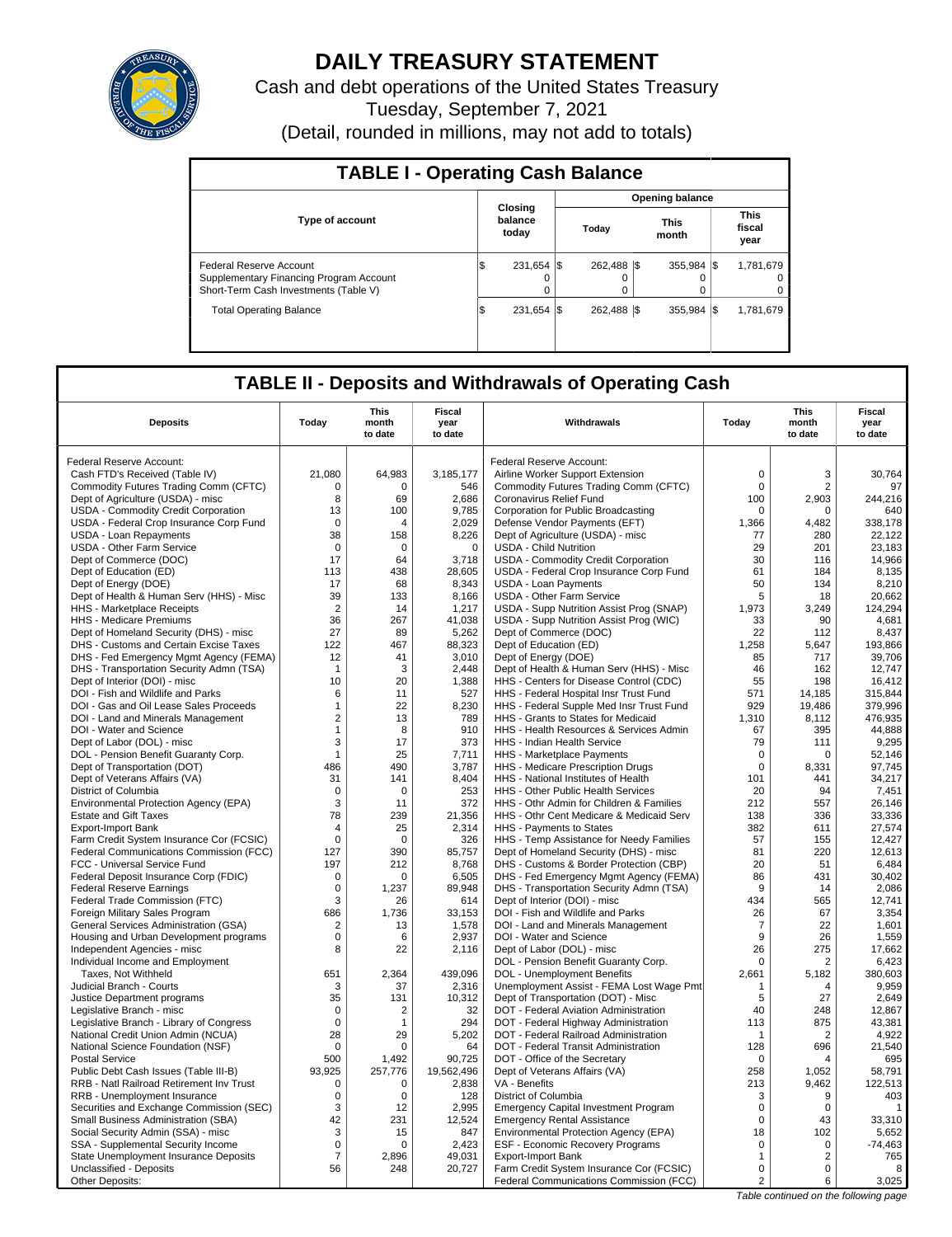

# **DAILY TREASURY STATEMENT**

Cash and debt operations of the United States Treasury Tuesday, September 7, 2021 (Detail, rounded in millions, may not add to totals)

| <b>TABLE I - Operating Cash Balance</b>                                                                     |     |                             |  |                  |  |                        |  |                               |  |  |
|-------------------------------------------------------------------------------------------------------------|-----|-----------------------------|--|------------------|--|------------------------|--|-------------------------------|--|--|
|                                                                                                             |     |                             |  |                  |  | <b>Opening balance</b> |  |                               |  |  |
| <b>Type of account</b>                                                                                      |     | Closing<br>balance<br>today |  | Today            |  | <b>This</b><br>month   |  | <b>This</b><br>fiscal<br>year |  |  |
| Federal Reserve Account<br>Supplementary Financing Program Account<br>Short-Term Cash Investments (Table V) | ıΦ  | 231,654 \$<br>0             |  | 262.488 \\$<br>0 |  | $355.984$ $\sqrt{\$}$  |  | 1,781,679<br>$\Omega$         |  |  |
| <b>Total Operating Balance</b>                                                                              | 1\$ | 231.654 \\$                 |  | 262.488 \\$      |  | 355.984 \\$            |  | 1,781,679                     |  |  |

## **TABLE II - Deposits and Withdrawals of Operating Cash**

| <b>Deposits</b>                                                       | Today          | This<br>month<br>to date | Fiscal<br>year<br>to date | Withdrawals                                                                          | Today          | <b>This</b><br>month<br>to date | <b>Fiscal</b><br>year<br>to date |
|-----------------------------------------------------------------------|----------------|--------------------------|---------------------------|--------------------------------------------------------------------------------------|----------------|---------------------------------|----------------------------------|
| Federal Reserve Account:                                              |                |                          |                           | Federal Reserve Account:                                                             |                |                                 |                                  |
| Cash FTD's Received (Table IV)                                        | 21,080         | 64,983                   | 3,185,177                 | Airline Worker Support Extension                                                     | $\mathbf 0$    | 3                               | 30,764                           |
| Commodity Futures Trading Comm (CFTC)                                 | 0              | $\Omega$                 | 546                       | Commodity Futures Trading Comm (CFTC)                                                | $\mathbf 0$    | 2                               | 97                               |
| Dept of Agriculture (USDA) - misc                                     | 8              | 69                       | 2,686                     | Coronavirus Relief Fund                                                              | 100            | 2,903                           | 244,216                          |
| USDA - Commodity Credit Corporation                                   | 13             | 100                      | 9.785                     | Corporation for Public Broadcasting                                                  | $\mathbf 0$    | $\mathbf 0$                     | 640                              |
| USDA - Federal Crop Insurance Corp Fund                               | $\mathbf 0$    | $\overline{4}$           | 2,029                     | Defense Vendor Payments (EFT)                                                        | 1,366          | 4,482                           | 338,178                          |
| <b>USDA - Loan Repayments</b>                                         | 38             | 158                      | 8,226                     | Dept of Agriculture (USDA) - misc                                                    | 77             | 280                             | 22.122                           |
| <b>USDA - Other Farm Service</b>                                      | $\mathbf 0$    | $\mathbf 0$              | $\mathbf 0$               | <b>USDA - Child Nutrition</b>                                                        | 29             | 201                             | 23,183                           |
| Dept of Commerce (DOC)                                                | 17             | 64                       | 3,718                     | USDA - Commodity Credit Corporation                                                  | 30             | 116                             | 14,966                           |
| Dept of Education (ED)                                                | 113            | 438                      | 28,605                    | USDA - Federal Crop Insurance Corp Fund                                              | 61             | 184                             | 8,135                            |
| Dept of Energy (DOE)                                                  | 17             | 68                       | 8,343                     | <b>USDA - Loan Payments</b>                                                          | 50             | 134                             | 8,210                            |
| Dept of Health & Human Serv (HHS) - Misc                              | 39             | 133                      | 8.166                     | <b>USDA - Other Farm Service</b>                                                     | 5              | 18                              | 20,662                           |
| HHS - Marketplace Receipts                                            | $\overline{2}$ | 14                       | 1,217                     | USDA - Supp Nutrition Assist Prog (SNAP)                                             | 1,973          | 3,249                           | 124,294                          |
| HHS - Medicare Premiums                                               | 36             | 267                      | 41.038                    | USDA - Supp Nutrition Assist Prog (WIC)                                              | 33             | 90                              | 4.681                            |
| Dept of Homeland Security (DHS) - misc                                | 27             | 89                       | 5,262                     | Dept of Commerce (DOC)                                                               | 22             | 112                             | 8,437                            |
| DHS - Customs and Certain Excise Taxes                                | 122            | 467                      | 88,323                    | Dept of Education (ED)                                                               | 1,258          | 5,647                           | 193,866                          |
| DHS - Fed Emergency Mgmt Agency (FEMA)                                | 12             | 41                       | 3,010                     | Dept of Energy (DOE)                                                                 | 85             | 717                             | 39,706                           |
| DHS - Transportation Security Admn (TSA)                              | $\mathbf{1}$   | 3                        | 2,448                     | Dept of Health & Human Serv (HHS) - Misc                                             | 46             | 162                             | 12,747                           |
| Dept of Interior (DOI) - misc                                         | 10             | 20                       | 1,388                     | HHS - Centers for Disease Control (CDC)                                              | 55             | 198                             | 16.412                           |
| DOI - Fish and Wildlife and Parks                                     | 6              | 11                       | 527                       | HHS - Federal Hospital Insr Trust Fund                                               | 571            | 14,185                          | 315,844                          |
| DOI - Gas and Oil Lease Sales Proceeds                                | $\mathbf{1}$   | 22                       | 8,230                     | HHS - Federal Supple Med Insr Trust Fund                                             | 929            | 19,486                          | 379,996                          |
| DOI - Land and Minerals Management                                    | $\overline{2}$ | 13                       | 789                       | HHS - Grants to States for Medicaid                                                  | 1,310          | 8,112                           | 476,935                          |
| DOI - Water and Science                                               | $\mathbf{1}$   | 8                        | 910                       | HHS - Health Resources & Services Admin                                              | 67             | 395                             | 44,888                           |
| Dept of Labor (DOL) - misc                                            | 3              | 17                       | 373                       | HHS - Indian Health Service                                                          | 79             | 111                             | 9,295                            |
| DOL - Pension Benefit Guaranty Corp.                                  | $\mathbf{1}$   | 25                       | 7,711                     | HHS - Marketplace Payments                                                           | $\mathbf 0$    | $\Omega$                        | 52,146                           |
| Dept of Transportation (DOT)                                          | 486            | 490                      | 3,787                     | HHS - Medicare Prescription Drugs                                                    | 0              | 8,331                           | 97,745                           |
| Dept of Veterans Affairs (VA)                                         | 31             | 141                      | 8,404                     | HHS - National Institutes of Health                                                  | 101            | 441                             | 34,217                           |
| District of Columbia                                                  | $\mathbf 0$    | $\mathbf 0$              | 253                       | HHS - Other Public Health Services                                                   | 20             | 94                              | 7,451                            |
| Environmental Protection Agency (EPA)<br><b>Estate and Gift Taxes</b> | 3<br>78        | 11<br>239                | 372<br>21,356             | HHS - Othr Admin for Children & Families<br>HHS - Othr Cent Medicare & Medicaid Serv | 212<br>138     | 557<br>336                      | 26.146<br>33,336                 |
| <b>Export-Import Bank</b>                                             | $\overline{4}$ | 25                       | 2,314                     | HHS - Payments to States                                                             | 382            | 611                             | 27,574                           |
| Farm Credit System Insurance Cor (FCSIC)                              | $\Omega$       | $\Omega$                 | 326                       | HHS - Temp Assistance for Needy Families                                             | 57             | 155                             | 12,427                           |
| Federal Communications Commission (FCC)                               | 127            | 390                      | 85,757                    | Dept of Homeland Security (DHS) - misc                                               | 81             | 220                             | 12,613                           |
| FCC - Universal Service Fund                                          | 197            | 212                      | 8,768                     | DHS - Customs & Border Protection (CBP)                                              | 20             | 51                              | 6,484                            |
| Federal Deposit Insurance Corp (FDIC)                                 | 0              | 0                        | 6,505                     | DHS - Fed Emergency Mgmt Agency (FEMA)                                               | 86             | 431                             | 30,402                           |
| <b>Federal Reserve Earnings</b>                                       | $\mathbf 0$    | 1,237                    | 89,948                    | DHS - Transportation Security Admn (TSA)                                             | 9              | 14                              | 2,086                            |
| Federal Trade Commission (FTC)                                        | 3              | 26                       | 614                       | Dept of Interior (DOI) - misc                                                        | 434            | 565                             | 12,741                           |
| Foreign Military Sales Program                                        | 686            | 1.736                    | 33,153                    | DOI - Fish and Wildlife and Parks                                                    | 26             | 67                              | 3,354                            |
| General Services Administration (GSA)                                 | $\overline{2}$ | 13                       | 1,578                     | DOI - Land and Minerals Management                                                   | $\overline{7}$ | 22                              | 1,601                            |
| Housing and Urban Development programs                                | 0              | 6                        | 2,937                     | DOI - Water and Science                                                              | 9              | 26                              | 1,559                            |
| Independent Agencies - misc                                           | 8              | 22                       | 2,116                     | Dept of Labor (DOL) - misc                                                           | 26             | 275                             | 17,662                           |
| Individual Income and Employment                                      |                |                          |                           | DOL - Pension Benefit Guaranty Corp.                                                 | $\Omega$       | 2                               | 6,423                            |
| Taxes, Not Withheld                                                   | 651            | 2,364                    | 439,096                   | <b>DOL</b> - Unemployment Benefits                                                   | 2,661          | 5,182                           | 380,603                          |
| Judicial Branch - Courts                                              | 3              | 37                       | 2,316                     | Unemployment Assist - FEMA Lost Wage Pmt                                             | $\mathbf{1}$   | $\overline{4}$                  | 9,959                            |
| Justice Department programs                                           | 35             | 131                      | 10,312                    | Dept of Transportation (DOT) - Misc                                                  | 5              | 27                              | 2,649                            |
| Legislative Branch - misc                                             | $\mathbf 0$    | $\overline{2}$           | 32                        | DOT - Federal Aviation Administration                                                | 40             | 248                             | 12,867                           |
| Legislative Branch - Library of Congress                              | $\mathbf 0$    | 1                        | 294                       | DOT - Federal Highway Administration                                                 | 113            | 875                             | 43.381                           |
| National Credit Union Admin (NCUA)                                    | 28             | 29                       | 5,202                     | DOT - Federal Railroad Administration                                                | $\mathbf 1$    | $\overline{2}$                  | 4,922                            |
| National Science Foundation (NSF)                                     | 0              | $\Omega$                 | 64                        | DOT - Federal Transit Administration                                                 | 128            | 696                             | 21,540                           |
| <b>Postal Service</b>                                                 | 500            | 1,492                    | 90,725                    | DOT - Office of the Secretary                                                        | $\mathbf 0$    | $\overline{4}$                  | 695                              |
| Public Debt Cash Issues (Table III-B)                                 | 93,925         | 257,776                  | 19,562,496                | Dept of Veterans Affairs (VA)                                                        | 258            | 1,052                           | 58,791                           |
| RRB - Natl Railroad Retirement Inv Trust                              | $\mathbf 0$    | $\Omega$                 | 2,838                     | VA - Benefits                                                                        | 213            | 9,462                           | 122,513                          |
| RRB - Unemployment Insurance                                          | $\mathbf 0$    | 0                        | 128                       | District of Columbia                                                                 | 3              | 9                               | 403                              |
| Securities and Exchange Commission (SEC)                              | 3              | 12                       | 2,995                     | <b>Emergency Capital Investment Program</b>                                          | $\mathbf 0$    | 0                               | $\mathbf{1}$                     |
| Small Business Administration (SBA)                                   | 42             | 231                      | 12,524                    | <b>Emergency Rental Assistance</b>                                                   | $\mathbf 0$    | 43                              | 33,310                           |
| Social Security Admin (SSA) - misc                                    | 3              | 15                       | 847                       | Environmental Protection Agency (EPA)                                                | 18             | 102                             | 5,652                            |
| SSA - Supplemental Security Income                                    | $\mathsf 0$    | $\mathbf 0$              | 2,423                     | ESF - Economic Recovery Programs                                                     | $\mathbf 0$    | $\mathbf 0$                     | $-74,463$                        |
| State Unemployment Insurance Deposits                                 | $\overline{7}$ | 2,896                    | 49,031                    | <b>Export-Import Bank</b>                                                            | 1              | 2                               | 765                              |
| Unclassified - Deposits                                               | 56             | 248                      | 20,727                    | Farm Credit System Insurance Cor (FCSIC)                                             | $\mathbf 0$    | $\mathbf 0$                     | 8                                |
| Other Deposits:                                                       |                |                          |                           | Federal Communications Commission (FCC)                                              | $\overline{2}$ | 6                               | 3,025                            |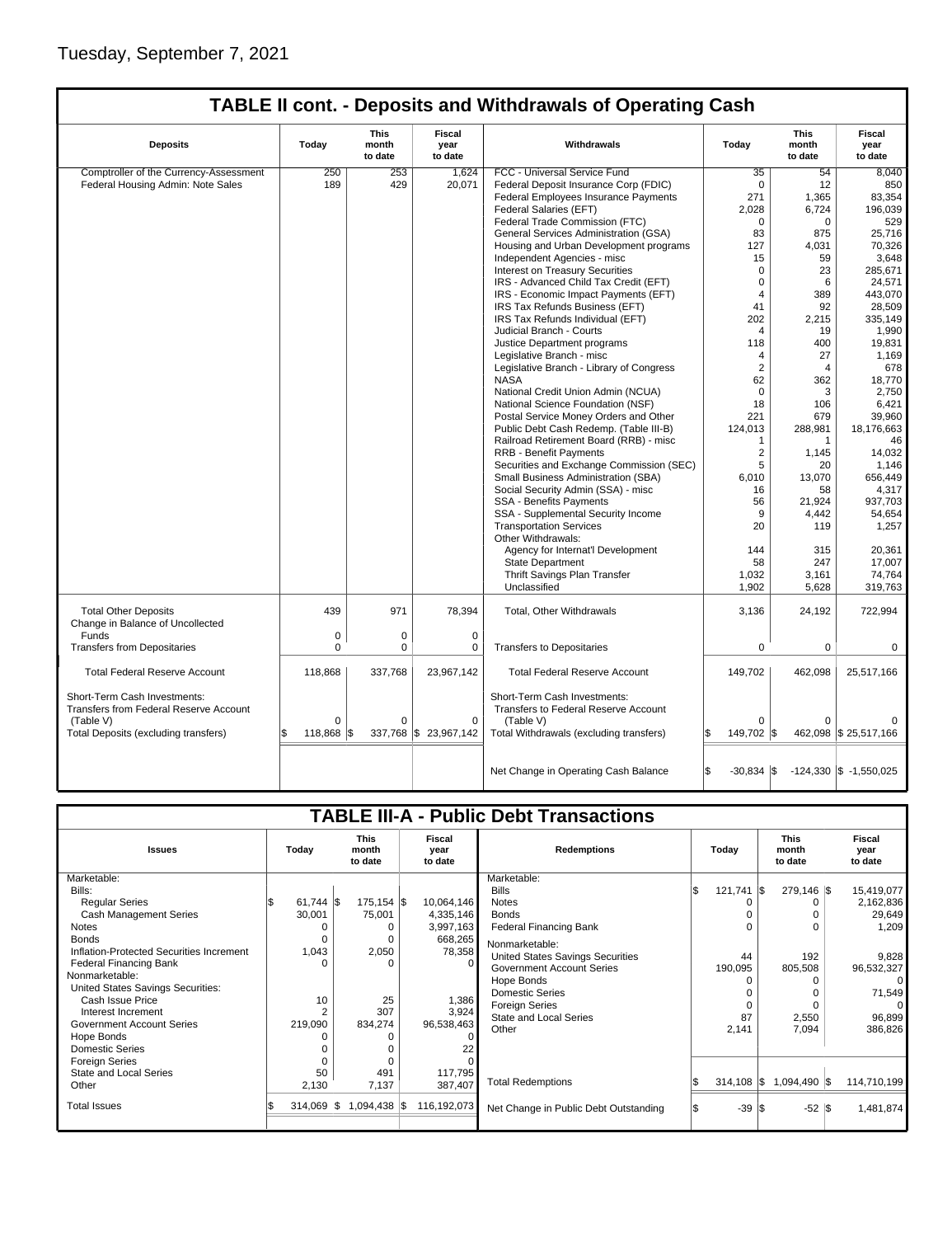## **TABLE II cont. - Deposits and Withdrawals of Operating Cash**

| <b>Deposits</b>                                                                                                                    | Today                         | This<br>month<br>to date | <b>Fiscal</b><br>year<br>to date | Withdrawals                                                                                                                  | Today                         | This<br>month<br>to date | <b>Fiscal</b><br>year<br>to date |
|------------------------------------------------------------------------------------------------------------------------------------|-------------------------------|--------------------------|----------------------------------|------------------------------------------------------------------------------------------------------------------------------|-------------------------------|--------------------------|----------------------------------|
| Comptroller of the Currency-Assessment                                                                                             | 250                           | 253                      | 1,624                            | FCC - Universal Service Fund                                                                                                 | 35                            | 54                       | 8,040                            |
| Federal Housing Admin: Note Sales                                                                                                  | 189                           | 429                      | 20,071                           | Federal Deposit Insurance Corp (FDIC)                                                                                        | $\Omega$                      | 12                       | 850                              |
|                                                                                                                                    |                               |                          |                                  | <b>Federal Employees Insurance Payments</b>                                                                                  | 271                           | 1,365                    | 83.354                           |
|                                                                                                                                    |                               |                          |                                  | Federal Salaries (EFT)                                                                                                       | 2,028                         | 6,724                    | 196.039                          |
|                                                                                                                                    |                               |                          |                                  | Federal Trade Commission (FTC)                                                                                               | $\mathbf 0$                   | $\mathbf 0$              | 529                              |
|                                                                                                                                    |                               |                          |                                  | General Services Administration (GSA)                                                                                        | 83                            | 875                      | 25,716                           |
|                                                                                                                                    |                               |                          |                                  | Housing and Urban Development programs                                                                                       | 127                           | 4,031                    | 70,326                           |
|                                                                                                                                    |                               |                          |                                  | Independent Agencies - misc                                                                                                  | 15                            | 59                       | 3,648                            |
|                                                                                                                                    |                               |                          |                                  | <b>Interest on Treasury Securities</b>                                                                                       | $\Omega$                      | 23                       | 285.671                          |
|                                                                                                                                    |                               |                          |                                  | IRS - Advanced Child Tax Credit (EFT)                                                                                        | $\Omega$                      | 6                        | 24,571                           |
|                                                                                                                                    |                               |                          |                                  | IRS - Economic Impact Payments (EFT)                                                                                         | $\overline{4}$                | 389                      | 443,070                          |
|                                                                                                                                    |                               |                          |                                  | IRS Tax Refunds Business (EFT)                                                                                               | 41                            | 92                       | 28,509                           |
|                                                                                                                                    |                               |                          |                                  | IRS Tax Refunds Individual (EFT)                                                                                             | 202                           | 2,215                    | 335,149                          |
|                                                                                                                                    |                               |                          |                                  | Judicial Branch - Courts                                                                                                     | 4                             | 19                       | 1,990                            |
|                                                                                                                                    |                               |                          |                                  | Justice Department programs                                                                                                  | 118                           | 400                      | 19,831                           |
|                                                                                                                                    |                               |                          |                                  | Legislative Branch - misc                                                                                                    | $\overline{4}$                | 27                       | 1,169                            |
|                                                                                                                                    |                               |                          |                                  | Legislative Branch - Library of Congress                                                                                     | $\overline{2}$                | 4                        | 678                              |
|                                                                                                                                    |                               |                          |                                  | <b>NASA</b>                                                                                                                  | 62                            | 362                      | 18,770                           |
|                                                                                                                                    |                               |                          |                                  | National Credit Union Admin (NCUA)                                                                                           | $\Omega$                      | 3                        | 2,750                            |
|                                                                                                                                    |                               |                          |                                  | National Science Foundation (NSF)                                                                                            | 18                            | 106                      | 6,421                            |
|                                                                                                                                    |                               |                          |                                  | Postal Service Money Orders and Other                                                                                        | 221                           | 679                      | 39,960                           |
|                                                                                                                                    |                               |                          |                                  |                                                                                                                              |                               |                          |                                  |
|                                                                                                                                    |                               |                          |                                  | Public Debt Cash Redemp. (Table III-B)                                                                                       | 124,013<br>1                  | 288,981                  | 18,176,663                       |
|                                                                                                                                    |                               |                          |                                  | Railroad Retirement Board (RRB) - misc                                                                                       |                               | 1                        | 46                               |
|                                                                                                                                    |                               |                          |                                  | <b>RRB - Benefit Payments</b>                                                                                                | $\overline{2}$                | 1,145                    | 14,032                           |
|                                                                                                                                    |                               |                          |                                  | Securities and Exchange Commission (SEC)                                                                                     | 5                             | 20                       | 1,146                            |
|                                                                                                                                    |                               |                          |                                  | Small Business Administration (SBA)                                                                                          | 6,010                         | 13,070                   | 656,449                          |
|                                                                                                                                    |                               |                          |                                  | Social Security Admin (SSA) - misc                                                                                           | 16                            | 58                       | 4,317                            |
|                                                                                                                                    |                               |                          |                                  | <b>SSA - Benefits Payments</b>                                                                                               | 56                            | 21,924                   | 937,703                          |
|                                                                                                                                    |                               |                          |                                  | SSA - Supplemental Security Income                                                                                           | 9                             | 4,442                    | 54,654                           |
|                                                                                                                                    |                               |                          |                                  | <b>Transportation Services</b><br>Other Withdrawals:                                                                         | 20                            | 119                      | 1,257                            |
|                                                                                                                                    |                               |                          |                                  | Agency for Internat'l Development                                                                                            | 144                           | 315                      | 20,361                           |
|                                                                                                                                    |                               |                          |                                  | <b>State Department</b>                                                                                                      | 58                            | 247                      | 17,007                           |
|                                                                                                                                    |                               |                          |                                  | Thrift Savings Plan Transfer                                                                                                 | 1,032                         | 3,161                    | 74,764                           |
|                                                                                                                                    |                               |                          |                                  | Unclassified                                                                                                                 | 1,902                         | 5,628                    | 319,763                          |
| <b>Total Other Deposits</b><br>Change in Balance of Uncollected                                                                    | 439                           | 971                      | 78,394                           | Total, Other Withdrawals                                                                                                     | 3,136                         | 24,192                   | 722,994                          |
| Funds                                                                                                                              | $\mathbf 0$                   | $\mathbf 0$              | $\mathbf 0$                      |                                                                                                                              |                               |                          |                                  |
| <b>Transfers from Depositaries</b>                                                                                                 | $\Omega$                      | 0                        | $\Omega$                         | <b>Transfers to Depositaries</b>                                                                                             | 0                             | 0                        | 0                                |
| <b>Total Federal Reserve Account</b>                                                                                               | 118,868                       | 337,768                  | 23,967,142                       | <b>Total Federal Reserve Account</b>                                                                                         | 149,702                       | 462,098                  | 25,517,166                       |
| Short-Term Cash Investments:<br><b>Transfers from Federal Reserve Account</b><br>(Table V)<br>Total Deposits (excluding transfers) | $\Omega$<br>118,868 \$<br>l\$ | $\Omega$                 | $\Omega$<br>337,768 \$23,967,142 | Short-Term Cash Investments:<br>Transfers to Federal Reserve Account<br>(Table V)<br>Total Withdrawals (excluding transfers) | $\Omega$<br>149,702 \$<br>ß.  | 0                        | 462,098 \$25,517,166             |
|                                                                                                                                    |                               |                          |                                  |                                                                                                                              |                               |                          |                                  |
|                                                                                                                                    |                               |                          |                                  | Net Change in Operating Cash Balance                                                                                         | $\mathbf{\$}$<br>$-30,834$ \$ |                          | $-124,330$ \$ $-1,550,025$       |

| <b>TABLE III-A - Public Debt Transactions</b> |                |                                 |                           |                                       |     |                      |                                 |  |                           |  |
|-----------------------------------------------|----------------|---------------------------------|---------------------------|---------------------------------------|-----|----------------------|---------------------------------|--|---------------------------|--|
| <b>Issues</b>                                 | Today          | <b>This</b><br>month<br>to date | Fiscal<br>year<br>to date | <b>Redemptions</b>                    |     | Today                | <b>This</b><br>month<br>to date |  | Fiscal<br>year<br>to date |  |
| Marketable:                                   |                |                                 |                           | Marketable:                           |     |                      |                                 |  |                           |  |
| Bills:                                        |                |                                 |                           | <b>Bills</b>                          | ı\$ | 121,741              | 279,146 \$<br>-136              |  | 15,419,077                |  |
| <b>Regular Series</b>                         | $61,744$ \$    | $175, 154$ \$                   | 10,064,146                | <b>Notes</b>                          |     |                      |                                 |  | 2,162,836                 |  |
| <b>Cash Management Series</b>                 | 30,001         | 75,001                          | 4,335,146                 | <b>Bonds</b>                          |     |                      |                                 |  | 29,649                    |  |
| Notes                                         |                | 0                               | 3,997,163                 | Federal Financing Bank                |     |                      |                                 |  | 1,209                     |  |
| <b>Bonds</b>                                  | 0              | $\Omega$                        | 668,265                   | Nonmarketable:                        |     |                      |                                 |  |                           |  |
| Inflation-Protected Securities Increment      | 1,043          | 2,050                           | 78,358                    | United States Savings Securities      |     | 44                   | 192                             |  | 9,828                     |  |
| <b>Federal Financing Bank</b>                 | n              | $\Omega$                        |                           | <b>Government Account Series</b>      |     | 190,095              | 805,508                         |  | 96,532,327                |  |
| Nonmarketable:                                |                |                                 |                           | Hope Bonds                            |     |                      |                                 |  |                           |  |
| United States Savings Securities:             |                |                                 |                           | <b>Domestic Series</b>                |     |                      |                                 |  | 71,549                    |  |
| Cash Issue Price                              | 10             | 25                              | 1,386                     | <b>Foreign Series</b>                 |     | 0                    |                                 |  |                           |  |
| Interest Increment                            | $\overline{2}$ | 307                             | 3,924                     | State and Local Series                |     | 87                   | 2,550                           |  | 96,899                    |  |
| Government Account Series                     | 219,090        | 834,274                         | 96,538,463                | Other                                 |     | 2,141                | 7,094                           |  | 386,826                   |  |
| Hope Bonds                                    |                | $\Omega$                        |                           |                                       |     |                      |                                 |  |                           |  |
| <b>Domestic Series</b>                        |                | $\Omega$                        |                           |                                       |     |                      |                                 |  |                           |  |
| <b>Foreign Series</b>                         |                | $\Omega$                        |                           |                                       |     |                      |                                 |  |                           |  |
| State and Local Series                        | 50             | 491                             | 117,795                   |                                       |     |                      |                                 |  |                           |  |
| Other                                         | 2,130          | 7,137                           | 387,407                   | <b>Total Redemptions</b>              |     | $314,108$ $\sqrt{5}$ | 1,094,490 \$                    |  | 114,710,199               |  |
| <b>Total Issues</b>                           | $314,069$ \\$  | $1,094,438$ \\$                 | 116,192,073               | Net Change in Public Debt Outstanding |     | $-39$ $\sqrt{3}$     | $-52$ $\sqrt{3}$                |  | 1,481,874                 |  |
|                                               |                |                                 |                           |                                       |     |                      |                                 |  |                           |  |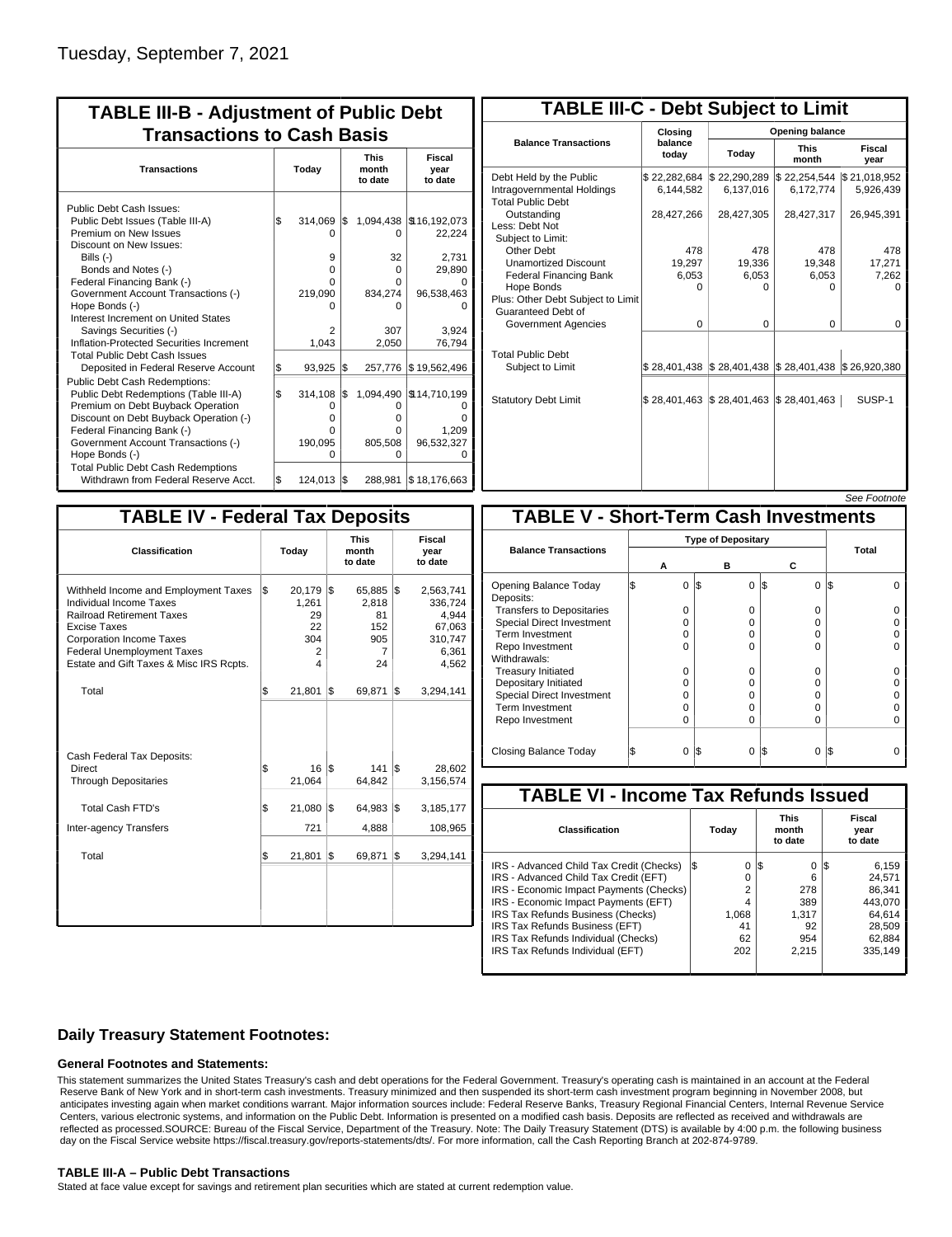| <b>TABLE III-B - Adjustment of Public Debt</b><br><b>Transactions to Cash Basis</b>                                                                                                                                                                                                                                                                        |     |                                                             |     |                                                   |                                                                                        |  |  |  |  |  |  |  |  |                                 |                           |
|------------------------------------------------------------------------------------------------------------------------------------------------------------------------------------------------------------------------------------------------------------------------------------------------------------------------------------------------------------|-----|-------------------------------------------------------------|-----|---------------------------------------------------|----------------------------------------------------------------------------------------|--|--|--|--|--|--|--|--|---------------------------------|---------------------------|
| <b>Transactions</b>                                                                                                                                                                                                                                                                                                                                        |     | Today                                                       |     |                                                   |                                                                                        |  |  |  |  |  |  |  |  | <b>This</b><br>month<br>to date | Fiscal<br>year<br>to date |
| Public Debt Cash Issues:<br>Public Debt Issues (Table III-A)<br>Premium on New Issues<br>Discount on New Issues:<br>Bills $(-)$<br>Bonds and Notes (-)<br>Federal Financing Bank (-)<br>Government Account Transactions (-)<br>Hope Bonds (-)<br>Interest Increment on United States<br>Savings Securities (-)<br>Inflation-Protected Securities Increment | \$  | 314,069<br>$\Omega$<br>9<br>o<br>U<br>219,090<br>2<br>1,043 | 1\$ | 0<br>32<br>0<br>U<br>834,274<br>ი<br>307<br>2,050 | 1,094,438   \$16,192,073<br>22,224<br>2,731<br>29,890<br>96,538,463<br>3.924<br>76,794 |  |  |  |  |  |  |  |  |                                 |                           |
| <b>Total Public Debt Cash Issues</b><br>Deposited in Federal Reserve Account<br><b>Public Debt Cash Redemptions:</b>                                                                                                                                                                                                                                       | \$  | 93,925                                                      | l\$ | 257,776                                           | \$19,562,496                                                                           |  |  |  |  |  |  |  |  |                                 |                           |
| Public Debt Redemptions (Table III-A)<br>Premium on Debt Buyback Operation<br>Discount on Debt Buyback Operation (-)<br>Federal Financing Bank (-)<br>Government Account Transactions (-)<br>Hope Bonds (-)                                                                                                                                                | \$  | 314,108<br>0<br>o<br>n<br>190,095<br>$\Omega$               | \$  | 0<br>o<br>o<br>805,508<br>0                       | 1,094,490   \$14,710,199<br>1.209<br>96,532,327                                        |  |  |  |  |  |  |  |  |                                 |                           |
| <b>Total Public Debt Cash Redemptions</b><br>Withdrawn from Federal Reserve Acct.                                                                                                                                                                                                                                                                          | l\$ | 124,013 \$                                                  |     | 288,981                                           | \$18,176,663                                                                           |  |  |  |  |  |  |  |  |                                 |                           |

| <b>TABLE III-C - Debt Subject to Limit</b>                                        |                           |                                            |                           |                           |  |  |  |  |
|-----------------------------------------------------------------------------------|---------------------------|--------------------------------------------|---------------------------|---------------------------|--|--|--|--|
|                                                                                   | Closing                   |                                            | Opening balance           |                           |  |  |  |  |
| <b>Balance Transactions</b>                                                       | balance<br>today          | Today                                      | <b>This</b><br>month      | Fiscal<br>year            |  |  |  |  |
| Debt Held by the Public<br>Intragovernmental Holdings<br><b>Total Public Debt</b> | \$22,282,684<br>6,144,582 | \$22,290,289<br>6,137,016                  | \$22,254,544<br>6,172,774 | \$21,018,952<br>5,926,439 |  |  |  |  |
| Outstanding<br>Less: Debt Not<br>Subiect to Limit:                                | 28,427,266                | 28,427,305                                 | 28,427,317                | 26,945,391                |  |  |  |  |
| Other Debt                                                                        | 478                       | 478                                        | 478                       | 478                       |  |  |  |  |
| <b>Unamortized Discount</b>                                                       | 19,297                    | 19,336                                     | 19,348                    | 17,271                    |  |  |  |  |
| <b>Federal Financing Bank</b>                                                     | 6,053                     | 6,053                                      | 6,053                     | 7,262                     |  |  |  |  |
| Hope Bonds                                                                        | $\Omega$                  | O                                          | U                         | n                         |  |  |  |  |
| Plus: Other Debt Subject to Limit<br>Guaranteed Debt of                           |                           |                                            |                           |                           |  |  |  |  |
| Government Agencies                                                               | $\Omega$                  | $\Omega$                                   | $\Omega$                  | 0                         |  |  |  |  |
| <b>Total Public Debt</b><br>Subject to Limit                                      |                           | \$28,401,438   \$28,401,438   \$28,401,438 |                           | \$26,920,380              |  |  |  |  |
|                                                                                   |                           |                                            |                           |                           |  |  |  |  |
| <b>Statutory Debt Limit</b>                                                       | \$28,401,463              | \$28,401,463                               | \$28,401,463              | SUSP-1                    |  |  |  |  |
|                                                                                   |                           |                                            |                           |                           |  |  |  |  |

See Footnote

| <b>TABLE IV - Federal Tax Deposits</b>                                                                                                                                                                                                 |       |                                              |     |                                                |     |                                                                      |  |
|----------------------------------------------------------------------------------------------------------------------------------------------------------------------------------------------------------------------------------------|-------|----------------------------------------------|-----|------------------------------------------------|-----|----------------------------------------------------------------------|--|
| Classification                                                                                                                                                                                                                         | Today |                                              |     | <b>This</b><br>month<br>to date                |     | Fiscal<br>year<br>to date                                            |  |
| Withheld Income and Employment Taxes<br>Individual Income Taxes<br><b>Railroad Retirement Taxes</b><br>Excise Taxes<br><b>Corporation Income Taxes</b><br><b>Federal Unemployment Taxes</b><br>Estate and Gift Taxes & Misc IRS Rcpts. | \$    | 20,179<br>1,261<br>29<br>22<br>304<br>2<br>4 | l\$ | 65,885<br>2,818<br>81<br>152<br>905<br>7<br>24 | 1\$ | 2,563,741<br>336,724<br>4,944<br>67,063<br>310,747<br>6,361<br>4,562 |  |
| Total                                                                                                                                                                                                                                  | \$    | 21,801                                       | l\$ | 69,871                                         | 1\$ | 3,294,141                                                            |  |
| Cash Federal Tax Deposits:<br>Direct<br><b>Through Depositaries</b>                                                                                                                                                                    | \$    | 16<br>21,064                                 | l\$ | 141<br>64,842                                  | l\$ | 28.602<br>3,156,574                                                  |  |
| <b>Total Cash FTD's</b>                                                                                                                                                                                                                | \$    | 21,080                                       | l\$ | 64,983                                         | l\$ | 3,185,177                                                            |  |
| Inter-agency Transfers                                                                                                                                                                                                                 |       | 721                                          |     | 4,888                                          |     | 108,965                                                              |  |
| Total                                                                                                                                                                                                                                  | \$    | 21,801                                       | l\$ | 69,871                                         | 1\$ | 3,294,141                                                            |  |

|                                              |                           |          |                 | טויט ויש |  |  |  |  |  |
|----------------------------------------------|---------------------------|----------|-----------------|----------|--|--|--|--|--|
| <b>TABLE V - Short-Term Cash Investments</b> |                           |          |                 |          |  |  |  |  |  |
|                                              | <b>Type of Depositary</b> |          |                 |          |  |  |  |  |  |
| <b>Balance Transactions</b>                  |                           |          |                 | Total    |  |  |  |  |  |
|                                              | А                         | в        | С               |          |  |  |  |  |  |
| Opening Balance Today<br>Deposits:           | 0                         | 0<br>I\$ | 1\$<br>$\Omega$ | I\$      |  |  |  |  |  |
| <b>Transfers to Depositaries</b>             | O                         | 0        | $\Omega$        |          |  |  |  |  |  |
| <b>Special Direct Investment</b>             | O                         | O        | 0               |          |  |  |  |  |  |
| <b>Term Investment</b>                       | 0                         | O        | 0               |          |  |  |  |  |  |
| Repo Investment                              | ი                         | O        | O               |          |  |  |  |  |  |
| Withdrawals:                                 |                           |          |                 |          |  |  |  |  |  |
| <b>Treasury Initiated</b>                    | O                         | 0        | 0               |          |  |  |  |  |  |
| Depositary Initiated                         | Ω                         | O        | 0               |          |  |  |  |  |  |
| <b>Special Direct Investment</b>             | Ω                         | O        | 0               |          |  |  |  |  |  |
| <b>Term Investment</b>                       | O                         | O        | O               |          |  |  |  |  |  |
| Repo Investment                              | 0                         | 0        | $\Omega$        |          |  |  |  |  |  |
|                                              |                           |          |                 |          |  |  |  |  |  |
| Closing Balance Today                        | 0                         | IS.<br>0 | S<br>0          | I\$      |  |  |  |  |  |

| <b>TABLE VI - Income Tax Refunds Issued</b> |          |                                 |                           |  |  |  |  |  |  |
|---------------------------------------------|----------|---------------------------------|---------------------------|--|--|--|--|--|--|
| Classification                              | Today    | <b>This</b><br>month<br>to date | Fiscal<br>year<br>to date |  |  |  |  |  |  |
| IRS - Advanced Child Tax Credit (Checks)    | 0<br>I\$ | 0<br>1\$                        | 6,159<br>IS.              |  |  |  |  |  |  |
| IRS - Advanced Child Tax Credit (EFT)       | 0        | 6                               | 24.571                    |  |  |  |  |  |  |
| IRS - Economic Impact Payments (Checks)     | 2        | 278                             | 86.341                    |  |  |  |  |  |  |
| IRS - Economic Impact Payments (EFT)        | 4        | 389                             | 443.070                   |  |  |  |  |  |  |
| IRS Tax Refunds Business (Checks)           | 1.068    | 1.317                           | 64.614                    |  |  |  |  |  |  |
| IRS Tax Refunds Business (EFT)              | 41       | 92                              | 28.509                    |  |  |  |  |  |  |
| IRS Tax Refunds Individual (Checks)         | 62       | 954                             | 62.884                    |  |  |  |  |  |  |
| IRS Tax Refunds Individual (EFT)            | 202      | 2,215                           | 335,149                   |  |  |  |  |  |  |

## **Daily Treasury Statement Footnotes:**

### **General Footnotes and Statements:**

This statement summarizes the United States Treasury's cash and debt operations for the Federal Government. Treasury's operating cash is maintained in an account at the Federal Reserve Bank of New York and in short-term cash investments. Treasury minimized and then suspended its short-term cash investment program beginning in November 2008, but anticipates investing again when market conditions warrant. Major information sources include: Federal Reserve Banks, Treasury Regional Financial Centers, Internal Revenue Service Centers, various electronic systems, and information on the Public Debt. Information is presented on a modified cash basis. Deposits are reflected as received and withdrawals are reflected as processed.SOURCE: Bureau of the Fiscal Service, Department of the Treasury. Note: The Daily Treasury Statement (DTS) is available by 4:00 p.m. the following business day on the Fiscal Service website https://fiscal.treasury.gov/reports-statements/dts/. For more information, call the Cash Reporting Branch at 202-874-9789.

### **TABLE III-A – Public Debt Transactions**

Stated at face value except for savings and retirement plan securities which are stated at current redemption value.